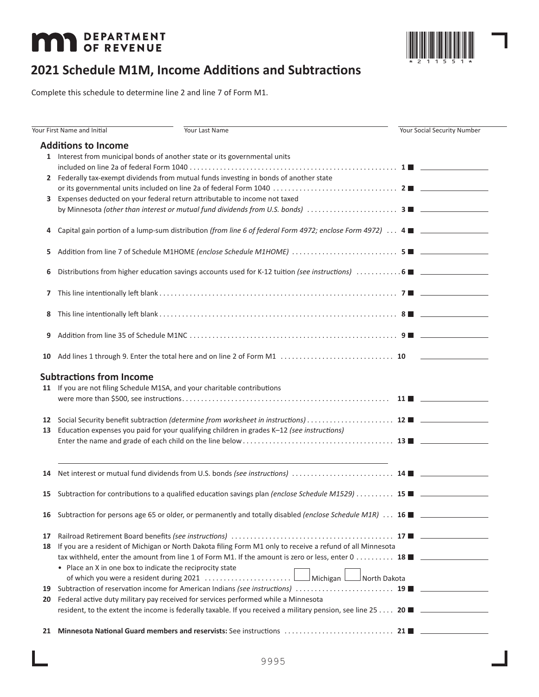# **MAT DEPARTMENT**



# **2021 Schedule M1M, Income Additions and Subtractions**

Complete this schedule to determine line 2 and line 7 of Form M1.

|    | Your First Name and Initial                               | Your Last Name                                                                                                            | <b>Your Social Security Number</b> |
|----|-----------------------------------------------------------|---------------------------------------------------------------------------------------------------------------------------|------------------------------------|
|    | <b>Additions to Income</b>                                |                                                                                                                           |                                    |
|    |                                                           | 1 Interest from municipal bonds of another state or its governmental units                                                |                                    |
|    |                                                           |                                                                                                                           |                                    |
|    |                                                           |                                                                                                                           |                                    |
|    |                                                           | 2 Federally tax-exempt dividends from mutual funds investing in bonds of another state                                    |                                    |
|    |                                                           |                                                                                                                           |                                    |
|    |                                                           | 3 Expenses deducted on your federal return attributable to income not taxed                                               |                                    |
|    |                                                           |                                                                                                                           |                                    |
| 4  |                                                           | Capital gain portion of a lump-sum distribution (from line 6 of federal Form 4972; enclose Form 4972) 4 ■                 |                                    |
|    |                                                           |                                                                                                                           |                                    |
| 5  |                                                           |                                                                                                                           |                                    |
|    |                                                           |                                                                                                                           |                                    |
| 6  |                                                           |                                                                                                                           |                                    |
|    |                                                           |                                                                                                                           |                                    |
| 7  |                                                           |                                                                                                                           |                                    |
|    |                                                           |                                                                                                                           |                                    |
| 8  |                                                           |                                                                                                                           |                                    |
|    |                                                           |                                                                                                                           |                                    |
| 9  |                                                           |                                                                                                                           |                                    |
|    |                                                           |                                                                                                                           |                                    |
| 10 |                                                           |                                                                                                                           |                                    |
|    |                                                           |                                                                                                                           |                                    |
|    | <b>Subtractions from Income</b>                           |                                                                                                                           |                                    |
|    |                                                           | 11 If you are not filing Schedule M1SA, and your charitable contributions                                                 |                                    |
|    |                                                           |                                                                                                                           |                                    |
|    |                                                           |                                                                                                                           |                                    |
| 12 |                                                           |                                                                                                                           |                                    |
| 13 |                                                           | Education expenses you paid for your qualifying children in grades K-12 (see instructions)                                |                                    |
|    |                                                           |                                                                                                                           |                                    |
|    |                                                           |                                                                                                                           |                                    |
|    |                                                           |                                                                                                                           |                                    |
|    |                                                           |                                                                                                                           |                                    |
| 14 |                                                           |                                                                                                                           |                                    |
|    |                                                           |                                                                                                                           |                                    |
| 15 |                                                           | Subtraction for contributions to a qualified education savings plan (enclose Schedule M1529)  15 $\blacksquare$           |                                    |
|    |                                                           |                                                                                                                           |                                    |
|    |                                                           | 16 Subtraction for persons age 65 or older, or permanently and totally disabled (enclose Schedule M1R)  16 $\blacksquare$ |                                    |
|    |                                                           |                                                                                                                           |                                    |
| 17 |                                                           |                                                                                                                           |                                    |
| 18 |                                                           | If you are a resident of Michigan or North Dakota filing Form M1 only to receive a refund of all Minnesota                |                                    |
|    |                                                           | tax withheld, enter the amount from line 1 of Form M1. If the amount is zero or less, enter 0 18 ■                        |                                    |
|    | • Place an X in one box to indicate the reciprocity state |                                                                                                                           |                                    |
|    |                                                           |                                                                                                                           |                                    |
| 19 |                                                           |                                                                                                                           |                                    |
| 20 |                                                           | Federal active duty military pay received for services performed while a Minnesota                                        |                                    |
|    |                                                           |                                                                                                                           |                                    |
|    |                                                           |                                                                                                                           |                                    |
|    |                                                           |                                                                                                                           |                                    |
|    |                                                           |                                                                                                                           |                                    |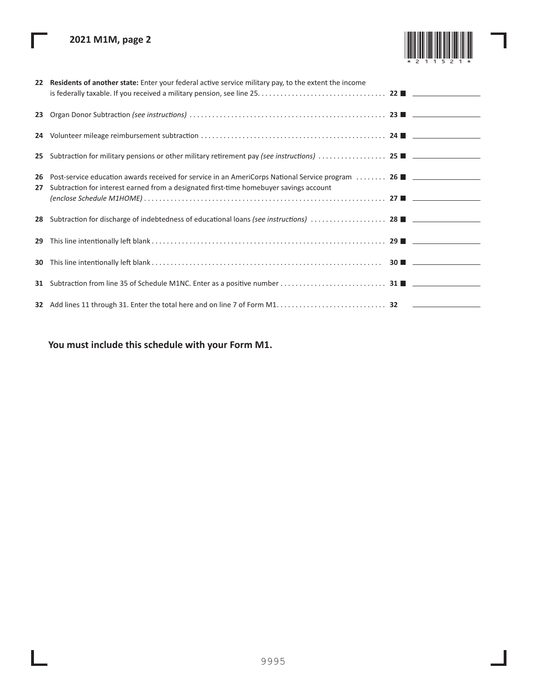# **2021 M1M, page 2**

Г

L

ı

|          | 22 Residents of another state: Enter your federal active service military pay, to the extent the income                                                                                                                           |  |
|----------|-----------------------------------------------------------------------------------------------------------------------------------------------------------------------------------------------------------------------------------|--|
|          |                                                                                                                                                                                                                                   |  |
|          |                                                                                                                                                                                                                                   |  |
|          |                                                                                                                                                                                                                                   |  |
| 26<br>27 | Post-service education awards received for service in an AmeriCorps National Service program  26<br>Subtraction for interest earned from a designated first-time homebuyer savings account<br>$(enclose Schedule M1HOME) \dots 1$ |  |
|          |                                                                                                                                                                                                                                   |  |
| 29       |                                                                                                                                                                                                                                   |  |
| 30       |                                                                                                                                                                                                                                   |  |
|          |                                                                                                                                                                                                                                   |  |
|          |                                                                                                                                                                                                                                   |  |

# **You must include this schedule with your Form M1.**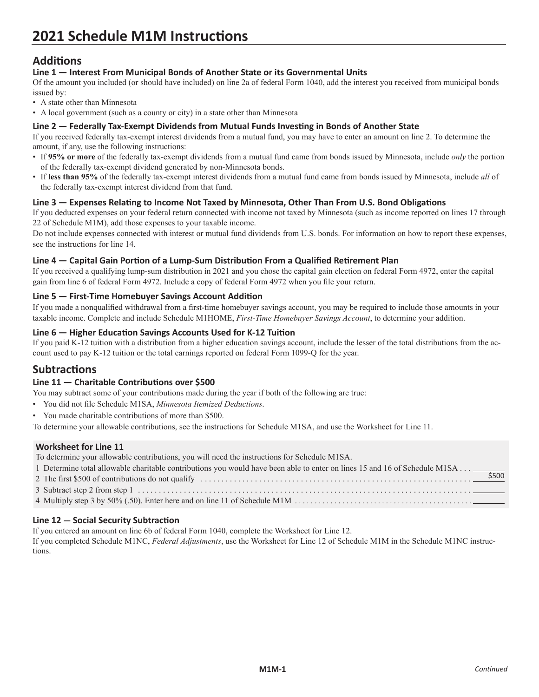# **Additions**

# **Line 1 — Interest From Municipal Bonds of Another State or its Governmental Units**

Of the amount you included (or should have included) on line 2a of federal Form 1040, add the interest you received from municipal bonds issued by:

- A state other than Minnesota
- A local government (such as a county or city) in a state other than Minnesota

# **Line 2 — Federally Tax-Exempt Dividends from Mutual Funds Investing in Bonds of Another State**

If you received federally tax-exempt interest dividends from a mutual fund, you may have to enter an amount on line 2. To determine the amount, if any, use the following instructions:

- If **95% or more** of the federally tax-exempt dividends from a mutual fund came from bonds issued by Minnesota, include *only* the portion of the federally tax-exempt dividend generated by non-Minnesota bonds.
- If **less than 95%** of the federally tax-exempt interest dividends from a mutual fund came from bonds issued by Minnesota, include *all* of the federally tax-exempt interest dividend from that fund.

# **Line 3 — Expenses Relating to Income Not Taxed by Minnesota, Other Than From U.S. Bond Obligations**

If you deducted expenses on your federal return connected with income not taxed by Minnesota (such as income reported on lines 17 through 22 of Schedule M1M), add those expenses to your taxable income.

Do not include expenses connected with interest or mutual fund dividends from U.S. bonds. For information on how to report these expenses, see the instructions for line 14.

# **Line 4 — Capital Gain Portion of a Lump-Sum Distribution From a Qualified Retirement Plan**

If you received a qualifying lump-sum distribution in 2021 and you chose the capital gain election on federal Form 4972, enter the capital gain from line 6 of federal Form 4972. Include a copy of federal Form 4972 when you file your return.

# **Line 5 — First-Time Homebuyer Savings Account Addition**

If you made a nonqualified withdrawal from a first-time homebuyer savings account, you may be required to include those amounts in your taxable income. Complete and include Schedule M1HOME, *First-Time Homebuyer Savings Account*, to determine your addition.

# **Line 6 — Higher Education Savings Accounts Used for K-12 Tuition**

If you paid K-12 tuition with a distribution from a higher education savings account, include the lesser of the total distributions from the account used to pay K-12 tuition or the total earnings reported on federal Form 1099-Q for the year.

# **Subtractions**

# **Line 11 — Charitable Contributions over \$500**

You may subtract some of your contributions made during the year if both of the following are true:

- You did not file Schedule M1SA, *Minnesota Itemized Deductions*.
- You made charitable contributions of more than \$500.

To determine your allowable contributions, see the instructions for Schedule M1SA, and use the Worksheet for Line 11.

# **Worksheet for Line 11**

To determine your allowable contributions, you will need the instructions for Schedule M1SA.

| 1 Determine total allowable charitable contributions you would have been able to enter on lines 15 and 16 of Schedule M1SA ________ |
|-------------------------------------------------------------------------------------------------------------------------------------|
| \$500                                                                                                                               |
|                                                                                                                                     |
|                                                                                                                                     |

# **Line 12 — Social Security Subtraction**

If you entered an amount on line 6b of federal Form 1040, complete the Worksheet for Line 12.

If you completed Schedule M1NC, *Federal Adjustments*, use the Worksheet for Line 12 of Schedule M1M in the Schedule M1NC instructions.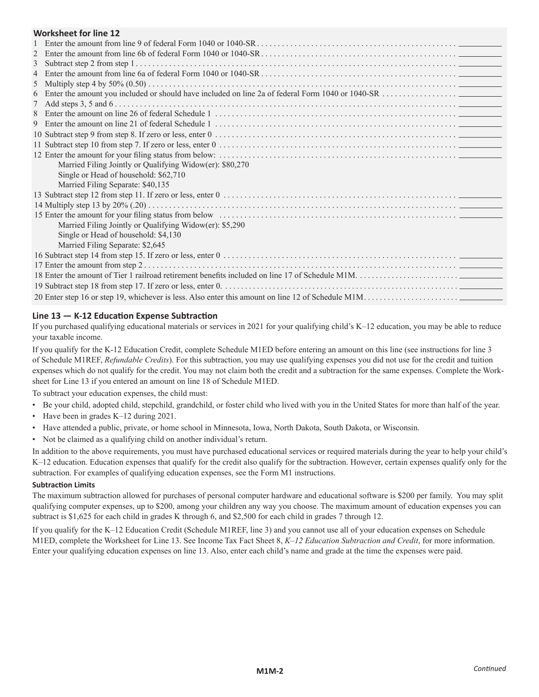# **Worksheet for line 12**

| WORKSHEEL TOR THE 12                                     |
|----------------------------------------------------------|
|                                                          |
|                                                          |
|                                                          |
|                                                          |
|                                                          |
|                                                          |
|                                                          |
|                                                          |
|                                                          |
|                                                          |
|                                                          |
|                                                          |
| Married Filing Jointly or Qualifying Widow(er): \$80,270 |
| Single or Head of household: \$62,710                    |
| Married Filing Separate: \$40,135                        |
|                                                          |
|                                                          |
|                                                          |
| Married Filing Jointly or Qualifying Widow(er): \$5,290  |
| Single or Head of household: \$4,130                     |
| Married Filing Separate: \$2,645                         |
|                                                          |
|                                                          |
|                                                          |
|                                                          |
|                                                          |

# **Line 13 — K-12 Education Expense Subtraction**

If you purchased qualifying educational materials or services in 2021 for your qualifying child's K–12 education, you may be able to reduce your taxable income.

If you qualify for the K-12 Education Credit, complete Schedule M1ED before entering an amount on this line (see instructions for line 3 of Schedule M1REF, *Refundable Credits*). For this subtraction, you may use qualifying expenses you did not use for the credit and tuition expenses which do not qualify for the credit. You may not claim both the credit and a subtraction for the same expenses. Complete the Worksheet for Line 13 if you entered an amount on line 18 of Schedule M1ED.

To subtract your education expenses, the child must:

- Be your child, adopted child, stepchild, grandchild, or foster child who lived with you in the United States for more than half of the year.
- Have been in grades K–12 during 2021.
- Have attended a public, private, or home school in Minnesota, Iowa, North Dakota, South Dakota, or Wisconsin.
- Not be claimed as a qualifying child on another individual's return.

In addition to the above requirements, you must have purchased educational services or required materials during the year to help your child's K–12 education. Education expenses that qualify for the credit also qualify for the subtraction. However, certain expenses qualify only for the subtraction. For examples of qualifying education expenses, see the Form M1 instructions.

#### **Subtraction Limits**

The maximum subtraction allowed for purchases of personal computer hardware and educational software is \$200 per family. You may split qualifying computer expenses, up to \$200, among your children any way you choose. The maximum amount of education expenses you can subtract is \$1,625 for each child in grades K through 6, and \$2,500 for each child in grades 7 through 12.

If you qualify for the K–12 Education Credit (Schedule M1REF, line 3) and you cannot use all of your education expenses on Schedule M1ED, complete the Worksheet for Line 13. See Income Tax Fact Sheet 8, *K–12 Education Subtraction and Credit*, for more information. Enter your qualifying education expenses on line 13. Also, enter each child's name and grade at the time the expenses were paid.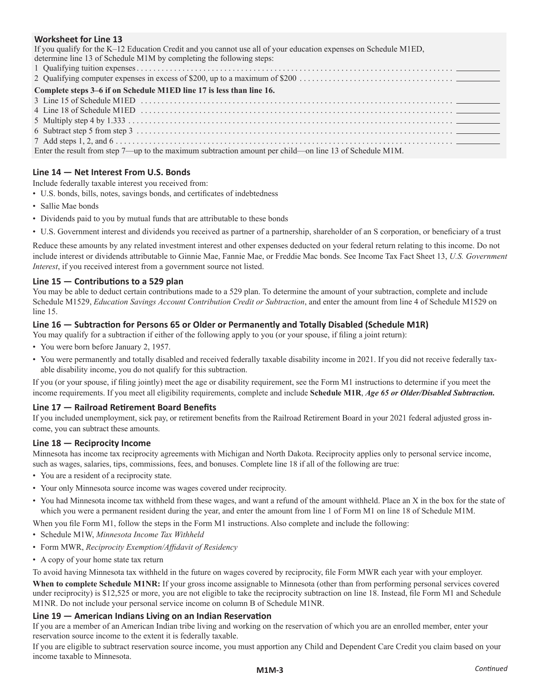# **Worksheet for Line 13**

| If you qualify for the K–12 Education Credit and you cannot use all of your education expenses on Schedule M1ED, |
|------------------------------------------------------------------------------------------------------------------|
| determine line 13 of Schedule M1M by completing the following steps:                                             |
|                                                                                                                  |
|                                                                                                                  |
| Complete steps 3–6 if on Schedule M1ED line 17 is less than line 16.                                             |
|                                                                                                                  |
|                                                                                                                  |
|                                                                                                                  |
|                                                                                                                  |
|                                                                                                                  |
| Enter the result from step 7—up to the maximum subtraction amount per child—on line 13 of Schedule M1M.          |
|                                                                                                                  |

# **Line 14 — Net Interest From U.S. Bonds**

Include federally taxable interest you received from:

- U.S. bonds, bills, notes, savings bonds, and certificates of indebtedness
- Sallie Mae bonds
- Dividends paid to you by mutual funds that are attributable to these bonds
- U.S. Government interest and dividends you received as partner of a partnership, shareholder of an S corporation, or beneficiary of a trust

Reduce these amounts by any related investment interest and other expenses deducted on your federal return relating to this income. Do not include interest or dividends attributable to Ginnie Mae, Fannie Mae, or Freddie Mac bonds. See Income Tax Fact Sheet 13, *U.S. Government Interest*, if you received interest from a government source not listed.

# **Line 15 — Contributions to a 529 plan**

You may be able to deduct certain contributions made to a 529 plan. To determine the amount of your subtraction, complete and include Schedule M1529, *Education Savings Account Contribution Credit or Subtraction*, and enter the amount from line 4 of Schedule M1529 on line 15.

# **Line 16 — Subtraction for Persons 65 or Older or Permanently and Totally Disabled (Schedule M1R)**

You may qualify for a subtraction if either of the following apply to you (or your spouse, if filing a joint return):

- You were born before January 2, 1957.
- You were permanently and totally disabled and received federally taxable disability income in 2021. If you did not receive federally taxable disability income, you do not qualify for this subtraction.

If you (or your spouse, if filing jointly) meet the age or disability requirement, see the Form M1 instructions to determine if you meet the income requirements. If you meet all eligibility requirements, complete and include **Schedule M1R**, *Age 65 or Older/Disabled Subtraction.*

#### **Line 17 — Railroad Retirement Board Benefits**

If you included unemployment, sick pay, or retirement benefits from the Railroad Retirement Board in your 2021 federal adjusted gross income, you can subtract these amounts.

#### **Line 18 — Reciprocity Income**

Minnesota has income tax reciprocity agreements with Michigan and North Dakota. Reciprocity applies only to personal service income, such as wages, salaries, tips, commissions, fees, and bonuses. Complete line 18 if all of the following are true:

- You are a resident of a reciprocity state.
- Your only Minnesota source income was wages covered under reciprocity.
- You had Minnesota income tax withheld from these wages, and want a refund of the amount withheld. Place an X in the box for the state of which you were a permanent resident during the year, and enter the amount from line 1 of Form M1 on line 18 of Schedule M1M.

When you file Form M1, follow the steps in the Form M1 instructions. Also complete and include the following:

- Schedule M1W, *Minnesota Income Tax Withheld*
- Form MWR, *Reciprocity Exemption/Affidavit of Residency*
- A copy of your home state tax return

To avoid having Minnesota tax withheld in the future on wages covered by reciprocity, file Form MWR each year with your employer.

When to complete Schedule M1NR: If your gross income assignable to Minnesota (other than from performing personal services covered under reciprocity) is \$12,525 or more, you are not eligible to take the reciprocity subtraction on line 18. Instead, file Form M1 and Schedule M1NR. Do not include your personal service income on column B of Schedule M1NR.

# **Line 19 — American Indians Living on an Indian Reservation**

If you are a member of an American Indian tribe living and working on the reservation of which you are an enrolled member, enter your reservation source income to the extent it is federally taxable.

If you are eligible to subtract reservation source income, you must apportion any Child and Dependent Care Credit you claim based on your income taxable to Minnesota.